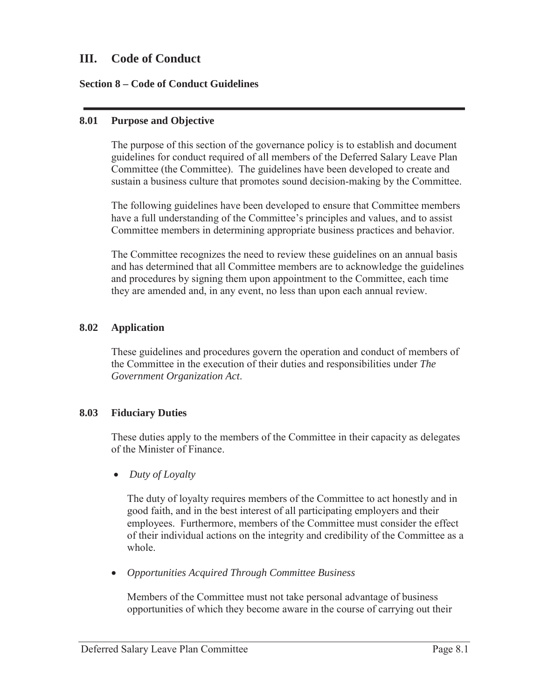# **III. Code of Conduct**

## **Section 8 – Code of Conduct Guidelines**

#### **8.01 Purpose and Objective**

The purpose of this section of the governance policy is to establish and document guidelines for conduct required of all members of the Deferred Salary Leave Plan Committee (the Committee). The guidelines have been developed to create and sustain a business culture that promotes sound decision-making by the Committee.

The following guidelines have been developed to ensure that Committee members have a full understanding of the Committee's principles and values, and to assist Committee members in determining appropriate business practices and behavior.

The Committee recognizes the need to review these guidelines on an annual basis and has determined that all Committee members are to acknowledge the guidelines and procedures by signing them upon appointment to the Committee, each time they are amended and, in any event, no less than upon each annual review.

## **8.02 Application**

These guidelines and procedures govern the operation and conduct of members of the Committee in the execution of their duties and responsibilities under *The Government Organization Act*.

# **8.03 Fiduciary Duties**

These duties apply to the members of the Committee in their capacity as delegates of the Minister of Finance.

• *Duty of Loyalty* 

The duty of loyalty requires members of the Committee to act honestly and in good faith, and in the best interest of all participating employers and their employees. Furthermore, members of the Committee must consider the effect of their individual actions on the integrity and credibility of the Committee as a whole.

x *Opportunities Acquired Through Committee Business*

Members of the Committee must not take personal advantage of business opportunities of which they become aware in the course of carrying out their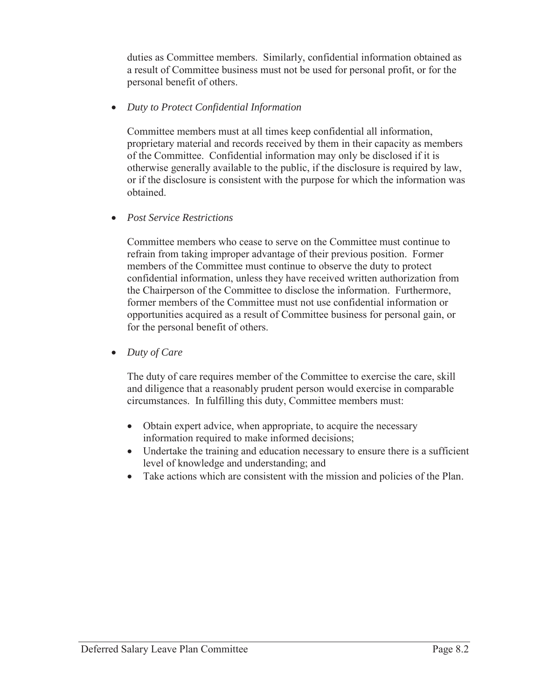duties as Committee members. Similarly, confidential information obtained as a result of Committee business must not be used for personal profit, or for the personal benefit of others.

x *Duty to Protect Confidential Information* 

Committee members must at all times keep confidential all information, proprietary material and records received by them in their capacity as members of the Committee. Confidential information may only be disclosed if it is otherwise generally available to the public, if the disclosure is required by law, or if the disclosure is consistent with the purpose for which the information was obtained.

x *Post Service Restrictions*

Committee members who cease to serve on the Committee must continue to refrain from taking improper advantage of their previous position. Former members of the Committee must continue to observe the duty to protect confidential information, unless they have received written authorization from the Chairperson of the Committee to disclose the information. Furthermore, former members of the Committee must not use confidential information or opportunities acquired as a result of Committee business for personal gain, or for the personal benefit of others.

• Duty of Care

The duty of care requires member of the Committee to exercise the care, skill and diligence that a reasonably prudent person would exercise in comparable circumstances. In fulfilling this duty, Committee members must:

- Obtain expert advice, when appropriate, to acquire the necessary information required to make informed decisions;
- Undertake the training and education necessary to ensure there is a sufficient level of knowledge and understanding; and
- Take actions which are consistent with the mission and policies of the Plan.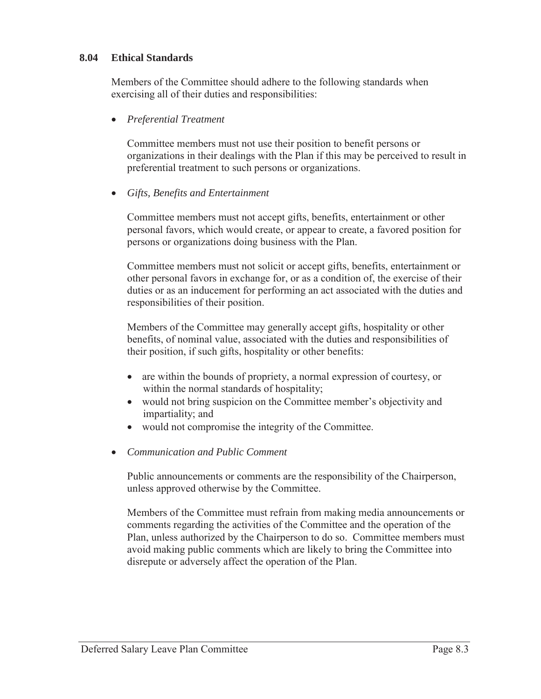# **8.04 Ethical Standards**

Members of the Committee should adhere to the following standards when exercising all of their duties and responsibilities:

x *Preferential Treatment*

Committee members must not use their position to benefit persons or organizations in their dealings with the Plan if this may be perceived to result in preferential treatment to such persons or organizations.

x *Gifts, Benefits and Entertainment*

Committee members must not accept gifts, benefits, entertainment or other personal favors, which would create, or appear to create, a favored position for persons or organizations doing business with the Plan.

Committee members must not solicit or accept gifts, benefits, entertainment or other personal favors in exchange for, or as a condition of, the exercise of their duties or as an inducement for performing an act associated with the duties and responsibilities of their position.

Members of the Committee may generally accept gifts, hospitality or other benefits, of nominal value, associated with the duties and responsibilities of their position, if such gifts, hospitality or other benefits:

- are within the bounds of propriety, a normal expression of courtesy, or within the normal standards of hospitality;
- would not bring suspicion on the Committee member's objectivity and impartiality; and
- would not compromise the integrity of the Committee.
- x *Communication and Public Comment*

Public announcements or comments are the responsibility of the Chairperson, unless approved otherwise by the Committee.

Members of the Committee must refrain from making media announcements or comments regarding the activities of the Committee and the operation of the Plan, unless authorized by the Chairperson to do so. Committee members must avoid making public comments which are likely to bring the Committee into disrepute or adversely affect the operation of the Plan.